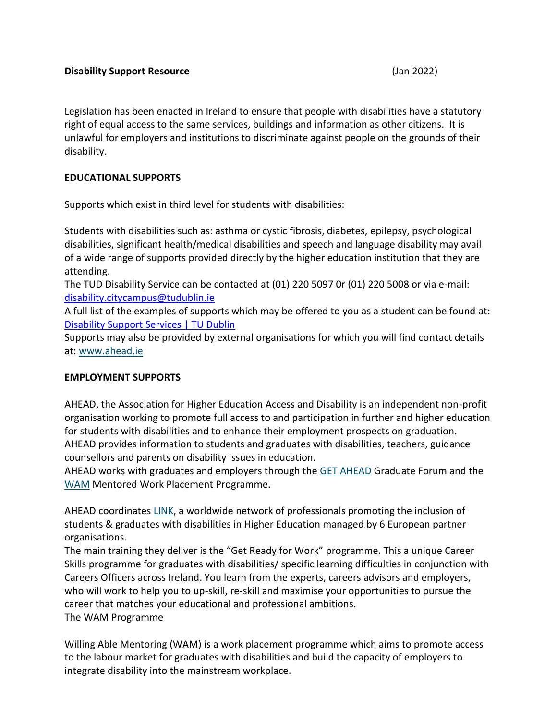Legislation has been enacted in Ireland to ensure that people with disabilities have a statutory right of equal access to the same services, buildings and information as other citizens. It is unlawful for employers and institutions to discriminate against people on the grounds of their disability.

# **EDUCATIONAL SUPPORTS**

Supports which exist in third level for students with disabilities:

Students with disabilities such as: asthma or cystic fibrosis, diabetes, epilepsy, psychological disabilities, significant health/medical disabilities and speech and language disability may avail of a wide range of supports provided directly by the higher education institution that they are attending.

The TUD Disability Service can be contacted at (01) 220 5097 0r (01) 220 5008 or via e-mail: [disability.citycampus@tudublin.ie](mailto:disability.citycampus@tudublin.ie)

A full list of the examples of supports which may be offered to you as a student can be found at: [Disability Support Services | TU Dublin](https://www.tudublin.ie/for-students/student-services-and-support/student-wellbeing/disability-support-services/)

Supports may also be provided by external organisations for which you will find contact details at: [www.ahead.ie](http://www.ahead.ie/)

## **EMPLOYMENT SUPPORTS**

AHEAD, the Association for Higher Education Access and Disability is an independent non-profit organisation working to promote full access to and participation in further and higher education for students with disabilities and to enhance their employment prospects on graduation. AHEAD provides information to students and graduates with disabilities, teachers, guidance counsellors and parents on disability issues in education.

AHEAD works with graduates and employers through the [GET AHEAD](http://www.ahead.ie/getahead) Graduate Forum and the [WAM](http://www.ahead.ie/wam) Mentored Work Placement Programme.

AHEAD coordinates [LINK,](http://www.ahead.ie/link) a worldwide network of professionals promoting the inclusion of students & graduates with disabilities in Higher Education managed by 6 European partner organisations.

The main training they deliver is the "Get Ready for Work" programme. This a unique Career Skills programme for graduates with disabilities/ specific learning difficulties in conjunction with Careers Officers across Ireland. You learn from the experts, careers advisors and employers, who will work to help you to up-skill, re-skill and maximise your opportunities to pursue the career that matches your educational and professional ambitions. The WAM Programme

Willing Able Mentoring (WAM) is a work placement programme which aims to promote access to the labour market for graduates with disabilities and build the capacity of employers to integrate disability into the mainstream workplace.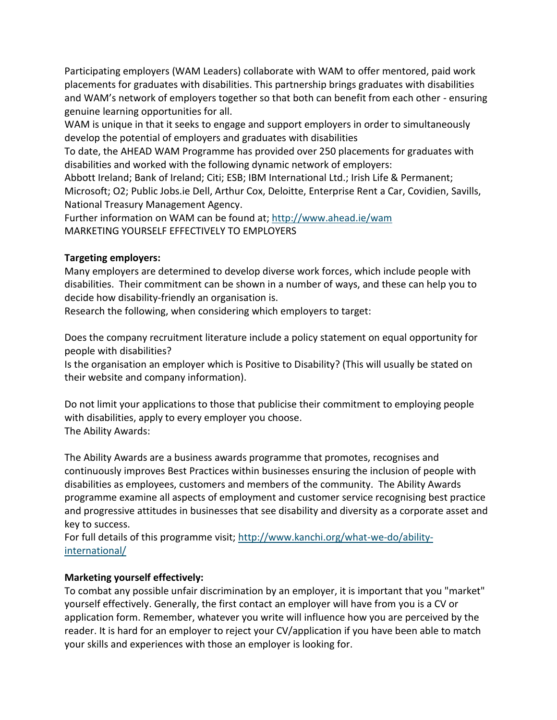Participating employers (WAM Leaders) collaborate with WAM to offer mentored, paid work placements for graduates with disabilities. This partnership brings graduates with disabilities and WAM's network of employers together so that both can benefit from each other - ensuring genuine learning opportunities for all.

WAM is unique in that it seeks to engage and support employers in order to simultaneously develop the potential of employers and graduates with disabilities

To date, the AHEAD WAM Programme has provided over 250 placements for graduates with disabilities and worked with the following dynamic network of employers:

Abbott Ireland; Bank of Ireland; Citi; ESB; IBM International Ltd.; Irish Life & Permanent; Microsoft; O2; Public Jobs.ie Dell, Arthur Cox, Deloitte, Enterprise Rent a Car, Covidien, Savills, National Treasury Management Agency.

Further information on WAM can be found at;<http://www.ahead.ie/wam> MARKETING YOURSELF EFFECTIVELY TO EMPLOYERS

# **Targeting employers:**

Many employers are determined to develop diverse work forces, which include people with disabilities. Their commitment can be shown in a number of ways, and these can help you to decide how disability-friendly an organisation is.

Research the following, when considering which employers to target:

Does the company recruitment literature include a policy statement on equal opportunity for people with disabilities?

Is the organisation an employer which is Positive to Disability? (This will usually be stated on their website and company information).

Do not limit your applications to those that publicise their commitment to employing people with disabilities, apply to every employer you choose. The Ability Awards:

The Ability Awards are a business awards programme that promotes, recognises and continuously improves Best Practices within businesses ensuring the inclusion of people with disabilities as employees, customers and members of the community. The Ability Awards programme examine all aspects of employment and customer service recognising best practice and progressive attitudes in businesses that see disability and diversity as a corporate asset and key to success.

For full details of this programme visit; [http://www.kanchi.org/what-we-do/ability](http://www.kanchi.org/what-we-do/ability-international/)[international/](http://www.kanchi.org/what-we-do/ability-international/)

# **Marketing yourself effectively:**

To combat any possible unfair discrimination by an employer, it is important that you "market" yourself effectively. Generally, the first contact an employer will have from you is a CV or application form. Remember, whatever you write will influence how you are perceived by the reader. It is hard for an employer to reject your CV/application if you have been able to match your skills and experiences with those an employer is looking for.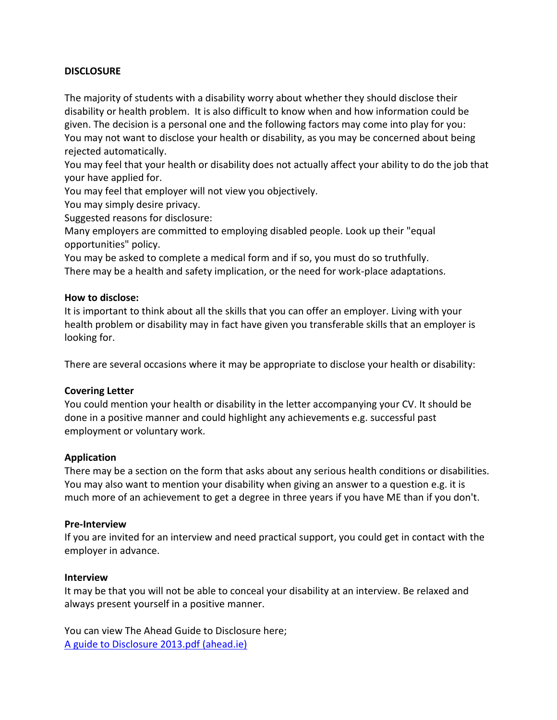## **DISCLOSURE**

The majority of students with a disability worry about whether they should disclose their disability or health problem. It is also difficult to know when and how information could be given. The decision is a personal one and the following factors may come into play for you: You may not want to disclose your health or disability, as you may be concerned about being rejected automatically.

You may feel that your health or disability does not actually affect your ability to do the job that your have applied for.

You may feel that employer will not view you objectively.

You may simply desire privacy.

Suggested reasons for disclosure:

Many employers are committed to employing disabled people. Look up their "equal opportunities" policy.

You may be asked to complete a medical form and if so, you must do so truthfully. There may be a health and safety implication, or the need for work-place adaptations.

## **How to disclose:**

It is important to think about all the skills that you can offer an employer. Living with your health problem or disability may in fact have given you transferable skills that an employer is looking for.

There are several occasions where it may be appropriate to disclose your health or disability:

## **Covering Letter**

You could mention your health or disability in the letter accompanying your CV. It should be done in a positive manner and could highlight any achievements e.g. successful past employment or voluntary work.

## **Application**

There may be a section on the form that asks about any serious health conditions or disabilities. You may also want to mention your disability when giving an answer to a question e.g. it is much more of an achievement to get a degree in three years if you have ME than if you don't.

#### **Pre-Interview**

If you are invited for an interview and need practical support, you could get in contact with the employer in advance.

#### **Interview**

It may be that you will not be able to conceal your disability at an interview. Be relaxed and always present yourself in a positive manner.

You can view The Ahead Guide to Disclosure here; [A guide to Disclosure 2013.pdf \(ahead.ie\)](https://www.ahead.ie/userfiles/files/shop/free/A%20guide%20to%20Disclosure%202013.pdf)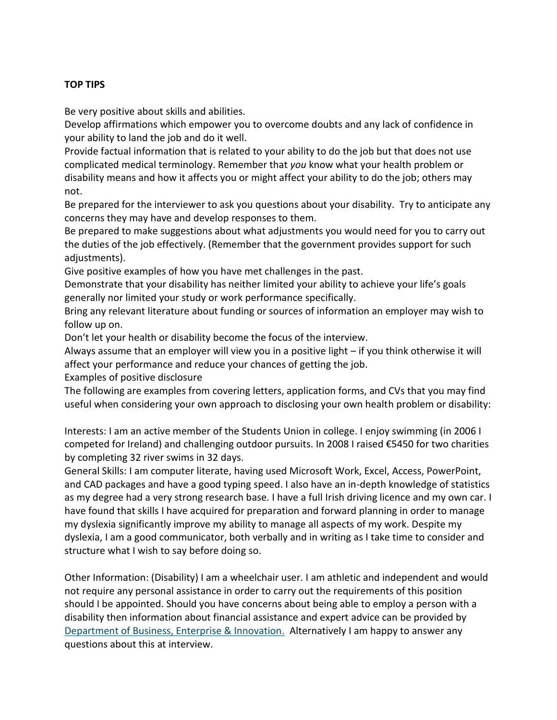# **TOP TIPS**

Be very positive about skills and abilities.

Develop affirmations which empower you to overcome doubts and any lack of confidence in your ability to land the job and do it well.

Provide factual information that is related to your ability to do the job but that does not use complicated medical terminology. Remember that *you* know what your health problem or disability means and how it affects you or might affect your ability to do the job; others may not.

Be prepared for the interviewer to ask you questions about your disability. Try to anticipate any concerns they may have and develop responses to them.

Be prepared to make suggestions about what adjustments you would need for you to carry out the duties of the job effectively. (Remember that the government provides support for such adjustments).

Give positive examples of how you have met challenges in the past.

Demonstrate that your disability has neither limited your ability to achieve your life's goals generally nor limited your study or work performance specifically.

Bring any relevant literature about funding or sources of information an employer may wish to follow up on.

Don't let your health or disability become the focus of the interview.

Always assume that an employer will view you in a positive light – if you think otherwise it will affect your performance and reduce your chances of getting the job.

Examples of positive disclosure

The following are examples from covering letters, application forms, and CVs that you may find useful when considering your own approach to disclosing your own health problem or disability:

Interests: I am an active member of the Students Union in college. I enjoy swimming (in 2006 I competed for Ireland) and challenging outdoor pursuits. In 2008 I raised €5450 for two charities by completing 32 river swims in 32 days.

General Skills: I am computer literate, having used Microsoft Work, Excel, Access, PowerPoint, and CAD packages and have a good typing speed. I also have an in-depth knowledge of statistics as my degree had a very strong research base. I have a full Irish driving licence and my own car. I have found that skills I have acquired for preparation and forward planning in order to manage my dyslexia significantly improve my ability to manage all aspects of my work. Despite my dyslexia, I am a good communicator, both verbally and in writing as I take time to consider and structure what I wish to say before doing so.

Other Information: (Disability) I am a wheelchair user. I am athletic and independent and would not require any personal assistance in order to carry out the requirements of this position should I be appointed. Should you have concerns about being able to employ a person with a disability then information about financial assistance and expert advice can be provided by [Department of Business, Enterprise & Innovation.](https://dbei.gov.ie/en/What-We-Do/Workplace-and-Skills/Employment-of-people-with-disabilities/) Alternatively I am happy to answer any questions about this at interview.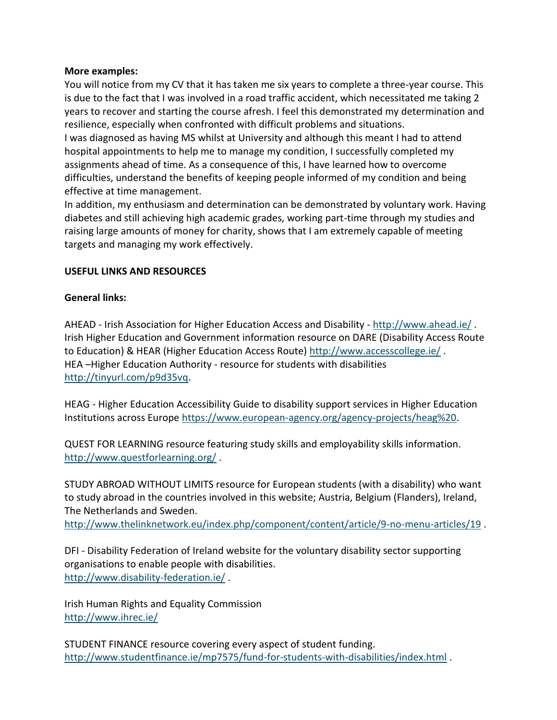## **More examples:**

You will notice from my CV that it has taken me six years to complete a three-year course. This is due to the fact that I was involved in a road traffic accident, which necessitated me taking 2 years to recover and starting the course afresh. I feel this demonstrated my determination and resilience, especially when confronted with difficult problems and situations.

I was diagnosed as having MS whilst at University and although this meant I had to attend hospital appointments to help me to manage my condition, I successfully completed my assignments ahead of time. As a consequence of this, I have learned how to overcome difficulties, understand the benefits of keeping people informed of my condition and being effective at time management.

In addition, my enthusiasm and determination can be demonstrated by voluntary work. Having diabetes and still achieving high academic grades, working part-time through my studies and raising large amounts of money for charity, shows that I am extremely capable of meeting targets and managing my work effectively.

## **USEFUL LINKS AND RESOURCES**

# **General links:**

AHEAD - Irish Association for Higher Education Access and Disability - <http://www.ahead.ie/>. Irish Higher Education and Government information resource on DARE (Disability Access Route to Education) & HEAR (Higher Education Access Route)<http://www.accesscollege.ie/> . HEA –Higher Education Authority - resource for students with disabilities [http://tinyurl.com/p9d35vq.](http://tinyurl.com/p9d35vq)

HEAG - Higher Education Accessibility Guide to disability support services in Higher Education Institutions across Europe [https://www.european-agency.org/agency-projects/heag%20.](https://www.european-agency.org/agency-projects/heag)

QUEST FOR LEARNING resource featuring study skills and employability skills information. <http://www.questforlearning.org/> .

STUDY ABROAD WITHOUT LIMITS resource for European students (with a disability) who want to study abroad in the countries involved in this website; Austria, Belgium (Flanders), Ireland, The Netherlands and Sweden.

<http://www.thelinknetwork.eu/index.php/component/content/article/9-no-menu-articles/19>.

DFI - Disability Federation of Ireland website for the voluntary disability sector supporting organisations to enable people with disabilities. <http://www.disability-federation.ie/> .

Irish Human Rights and Equality Commission <http://www.ihrec.ie/>

STUDENT FINANCE resource covering every aspect of student funding. <http://www.studentfinance.ie/mp7575/fund-for-students-with-disabilities/index.html> .